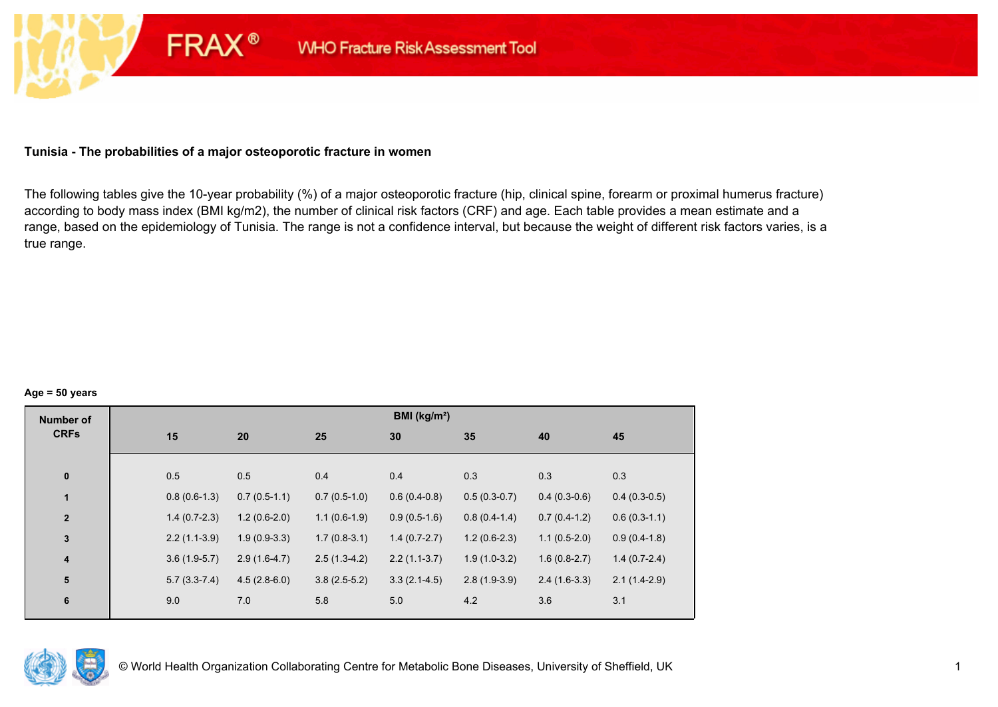## **Tunisia - The probabilities of a major osteoporotic fracture in women**

**FRAX®** 

The following tables give the 10-year probability (%) of a major osteoporotic fracture (hip, clinical spine, forearm or proximal humerus fracture) according to body mass index (BMI kg/m2), the number of clinical risk factors (CRF) and age. Each table provides a mean estimate and a range, based on the epidemiology of Tunisia. The range is not a confidence interval, but because the weight of different risk factors varies, is a true range.

#### **Age = 50 years**

| <b>Number of</b> |                |                |                | BMI (kg/m <sup>2</sup> ) |                |                |                |
|------------------|----------------|----------------|----------------|--------------------------|----------------|----------------|----------------|
| <b>CRFs</b>      | 15             | 20             | 25             | 30                       | 35             | 40             | 45             |
|                  |                |                |                |                          |                |                |                |
| $\pmb{0}$        | 0.5            | 0.5            | 0.4            | 0.4                      | 0.3            | 0.3            | 0.3            |
| $\mathbf{1}$     | $0.8(0.6-1.3)$ | $0.7(0.5-1.1)$ | $0.7(0.5-1.0)$ | $0.6(0.4-0.8)$           | $0.5(0.3-0.7)$ | $0.4(0.3-0.6)$ | $0.4(0.3-0.5)$ |
| $\overline{2}$   | $1.4(0.7-2.3)$ | $1.2(0.6-2.0)$ | $1.1(0.6-1.9)$ | $0.9(0.5-1.6)$           | $0.8(0.4-1.4)$ | $0.7(0.4-1.2)$ | $0.6(0.3-1.1)$ |
| $\mathbf 3$      | $2.2(1.1-3.9)$ | $1.9(0.9-3.3)$ | $1.7(0.8-3.1)$ | $1.4(0.7-2.7)$           | $1.2(0.6-2.3)$ | $1.1(0.5-2.0)$ | $0.9(0.4-1.8)$ |
| 4                | $3.6(1.9-5.7)$ | $2.9(1.6-4.7)$ | $2.5(1.3-4.2)$ | $2.2(1.1-3.7)$           | $1.9(1.0-3.2)$ | $1.6(0.8-2.7)$ | $1.4(0.7-2.4)$ |
| $5\phantom{1}$   | $5.7(3.3-7.4)$ | $4.5(2.8-6.0)$ | $3.8(2.5-5.2)$ | $3.3(2.1-4.5)$           | $2.8(1.9-3.9)$ | $2.4(1.6-3.3)$ | $2.1(1.4-2.9)$ |
| 6                | 9.0            | 7.0            | 5.8            | 5.0                      | 4.2            | 3.6            | 3.1            |
|                  |                |                |                |                          |                |                |                |

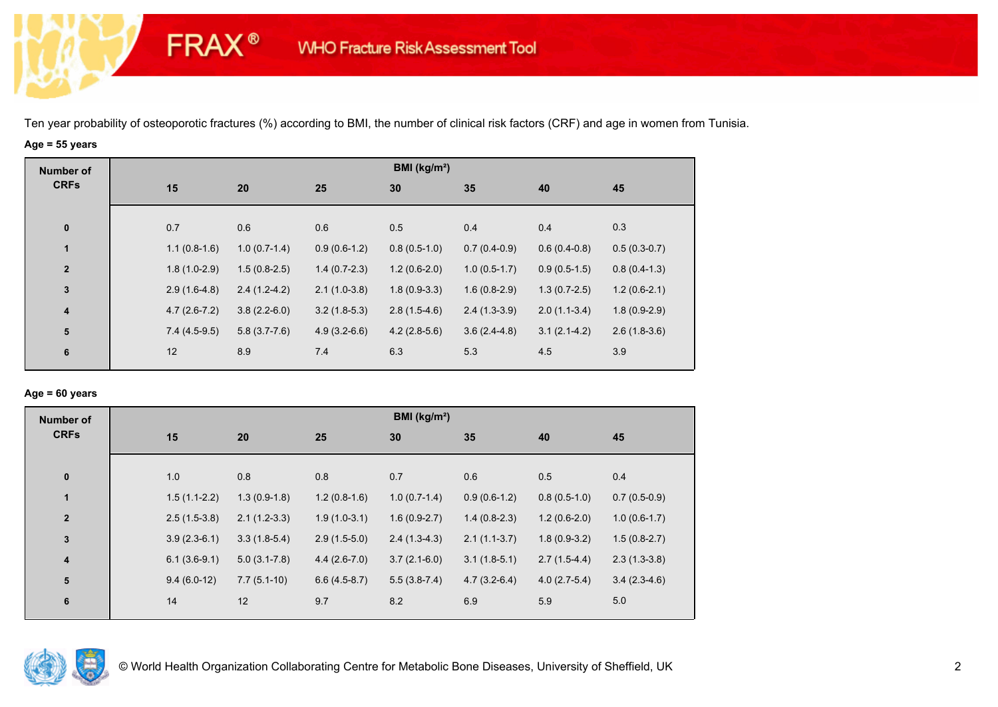# **Age = 55 years**

**FRAX®** 

| <b>Number of</b>        |                |                |                | BMI ( $kg/m2$ ) |                |                |                |
|-------------------------|----------------|----------------|----------------|-----------------|----------------|----------------|----------------|
| <b>CRFs</b>             | 15             | 20             | 25             | 30              | 35             | 40             | 45             |
| $\mathbf 0$             | 0.7            | 0.6            | 0.6            | 0.5             | 0.4            | 0.4            | 0.3            |
| 1                       | $1.1(0.8-1.6)$ | $1.0(0.7-1.4)$ | $0.9(0.6-1.2)$ | $0.8(0.5-1.0)$  | $0.7(0.4-0.9)$ | $0.6(0.4-0.8)$ | $0.5(0.3-0.7)$ |
| $\overline{2}$          | $1.8(1.0-2.9)$ | $1.5(0.8-2.5)$ | $1.4(0.7-2.3)$ | $1.2(0.6-2.0)$  | $1.0(0.5-1.7)$ | $0.9(0.5-1.5)$ | $0.8(0.4-1.3)$ |
| $\mathbf 3$             | $2.9(1.6-4.8)$ | $2.4(1.2-4.2)$ | $2.1(1.0-3.8)$ | $1.8(0.9-3.3)$  | $1.6(0.8-2.9)$ | $1.3(0.7-2.5)$ | $1.2(0.6-2.1)$ |
| $\overline{\mathbf{4}}$ | $4.7(2.6-7.2)$ | $3.8(2.2-6.0)$ | $3.2(1.8-5.3)$ | $2.8(1.5-4.6)$  | $2.4(1.3-3.9)$ | $2.0(1.1-3.4)$ | $1.8(0.9-2.9)$ |
| ${\bf 5}$               | $7.4(4.5-9.5)$ | $5.8(3.7-7.6)$ | $4.9(3.2-6.6)$ | $4.2(2.8-5.6)$  | $3.6(2.4-4.8)$ | $3.1(2.1-4.2)$ | $2.6(1.8-3.6)$ |
| 6                       | 12             | 8.9            | 7.4            | 6.3             | 5.3            | 4.5            | 3.9            |

#### **Age = 60 years**

| <b>Number of</b> |                |                  |                | BMI ( $kg/m2$ ) |                |                |                |
|------------------|----------------|------------------|----------------|-----------------|----------------|----------------|----------------|
| <b>CRFs</b>      | 15             | 20               | 25             | 30              | 35             | 40             | 45             |
|                  |                |                  |                |                 |                |                |                |
| $\pmb{0}$        | 1.0            | 0.8              | 0.8            | 0.7             | 0.6            | 0.5            | 0.4            |
| $\mathbf{1}$     | $1.5(1.1-2.2)$ | $1.3(0.9-1.8)$   | $1.2(0.8-1.6)$ | $1.0(0.7-1.4)$  | $0.9(0.6-1.2)$ | $0.8(0.5-1.0)$ | $0.7(0.5-0.9)$ |
| $\mathbf{2}$     | $2.5(1.5-3.8)$ | $2.1(1.2-3.3)$   | $1.9(1.0-3.1)$ | $1.6(0.9-2.7)$  | $1.4(0.8-2.3)$ | $1.2(0.6-2.0)$ | $1.0(0.6-1.7)$ |
| 3                | $3.9(2.3-6.1)$ | $3.3(1.8-5.4)$   | $2.9(1.5-5.0)$ | $2.4(1.3-4.3)$  | $2.1(1.1-3.7)$ | $1.8(0.9-3.2)$ | $1.5(0.8-2.7)$ |
| 4                | $6.1(3.6-9.1)$ | $5.0(3.1 - 7.8)$ | $4.4(2.6-7.0)$ | $3.7(2.1-6.0)$  | $3.1(1.8-5.1)$ | $2.7(1.5-4.4)$ | $2.3(1.3-3.8)$ |
| 5                | $9.4(6.0-12)$  | $7.7(5.1-10)$    | $6.6(4.5-8.7)$ | $5.5(3.8-7.4)$  | $4.7(3.2-6.4)$ | $4.0(2.7-5.4)$ | $3.4(2.3-4.6)$ |
| $\bf 6$          | 14             | 12               | 9.7            | 8.2             | 6.9            | 5.9            | 5.0            |

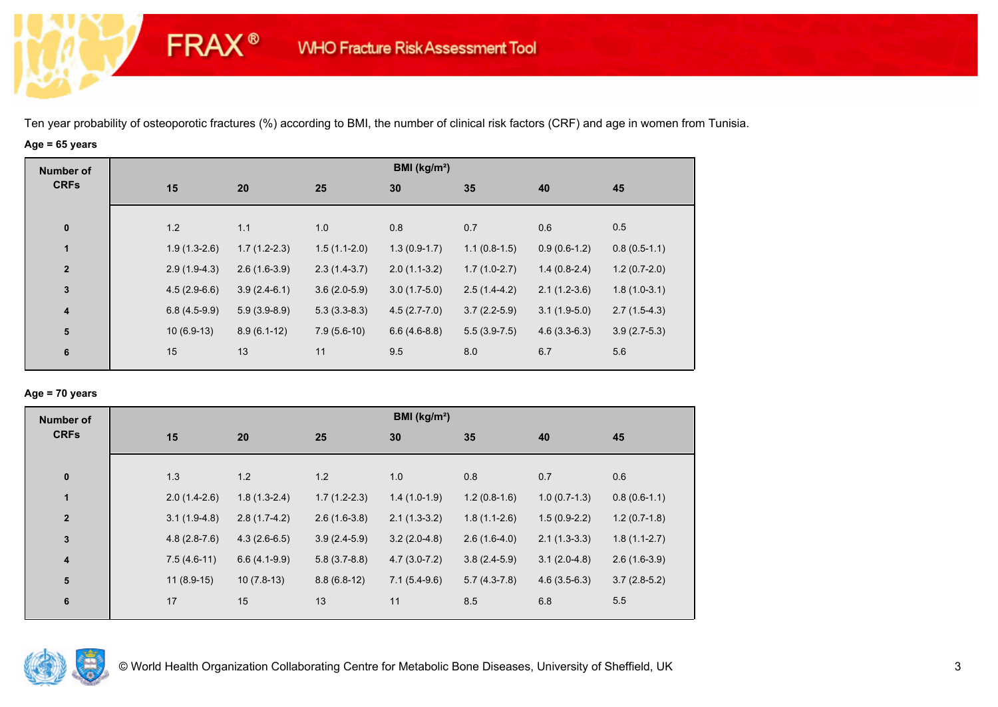# **Age = 65 years**

**FRAX®** 

| <b>Number of</b>        |                |                |                | BMI ( $kg/m2$ ) |                |                |                |
|-------------------------|----------------|----------------|----------------|-----------------|----------------|----------------|----------------|
| <b>CRFs</b>             | 15             | 20             | 25             | 30              | 35             | 40             | 45             |
| $\mathbf 0$             | 1.2            | 1.1            | 1.0            | 0.8             | 0.7            | 0.6            | 0.5            |
| 1                       | $1.9(1.3-2.6)$ | $1.7(1.2-2.3)$ | $1.5(1.1-2.0)$ | $1.3(0.9-1.7)$  | $1.1(0.8-1.5)$ | $0.9(0.6-1.2)$ | $0.8(0.5-1.1)$ |
| $\overline{2}$          | $2.9(1.9-4.3)$ | $2.6(1.6-3.9)$ | $2.3(1.4-3.7)$ | $2.0(1.1-3.2)$  | $1.7(1.0-2.7)$ | $1.4(0.8-2.4)$ | $1.2(0.7-2.0)$ |
| $\mathbf{3}$            | $4.5(2.9-6.6)$ | $3.9(2.4-6.1)$ | $3.6(2.0-5.9)$ | $3.0(1.7-5.0)$  | $2.5(1.4-4.2)$ | $2.1(1.2-3.6)$ | $1.8(1.0-3.1)$ |
| $\overline{\mathbf{4}}$ | $6.8(4.5-9.9)$ | $5.9(3.9-8.9)$ | $5.3(3.3-8.3)$ | $4.5(2.7-7.0)$  | $3.7(2.2-5.9)$ | $3.1(1.9-5.0)$ | $2.7(1.5-4.3)$ |
| 5                       | $10(6.9-13)$   | $8.9(6.1-12)$  | $7.9(5.6-10)$  | $6.6(4.6-8.8)$  | $5.5(3.9-7.5)$ | $4.6(3.3-6.3)$ | $3.9(2.7-5.3)$ |
| 6                       | 15             | 13             | 11             | 9.5             | 8.0            | 6.7            | 5.6            |

## **Age = 70 years**

| <b>Number of</b>        |                |                |                | BMI ( $kg/m2$ ) |                |                |                |
|-------------------------|----------------|----------------|----------------|-----------------|----------------|----------------|----------------|
| <b>CRFs</b>             | 15             | 20             | 25             | 30              | 35             | 40             | 45             |
| $\pmb{0}$               | 1.3            | 1.2            | 1.2            | 1.0             | 0.8            | 0.7            | 0.6            |
| $\mathbf{1}$            | $2.0(1.4-2.6)$ | $1.8(1.3-2.4)$ | $1.7(1.2-2.3)$ | $1.4(1.0-1.9)$  | $1.2(0.8-1.6)$ | $1.0(0.7-1.3)$ | $0.8(0.6-1.1)$ |
| $\overline{2}$          | $3.1(1.9-4.8)$ | $2.8(1.7-4.2)$ | $2.6(1.6-3.8)$ | $2.1(1.3-3.2)$  | $1.8(1.1-2.6)$ | $1.5(0.9-2.2)$ | $1.2(0.7-1.8)$ |
| 3                       | $4.8(2.8-7.6)$ | $4.3(2.6-6.5)$ | $3.9(2.4-5.9)$ | $3.2(2.0-4.8)$  | $2.6(1.6-4.0)$ | $2.1(1.3-3.3)$ | $1.8(1.1-2.7)$ |
| $\overline{\mathbf{4}}$ | $7.5(4.6-11)$  | $6.6(4.1-9.9)$ | $5.8(3.7-8.8)$ | $4.7(3.0-7.2)$  | $3.8(2.4-5.9)$ | $3.1(2.0-4.8)$ | $2.6(1.6-3.9)$ |
| 5                       | $11(8.9-15)$   | $10(7.8-13)$   | $8.8(6.8-12)$  | $7.1(5.4-9.6)$  | $5.7(4.3-7.8)$ | $4.6(3.5-6.3)$ | $3.7(2.8-5.2)$ |
| 6                       | 17             | 15             | 13             | 11              | 8.5            | 6.8            | 5.5            |

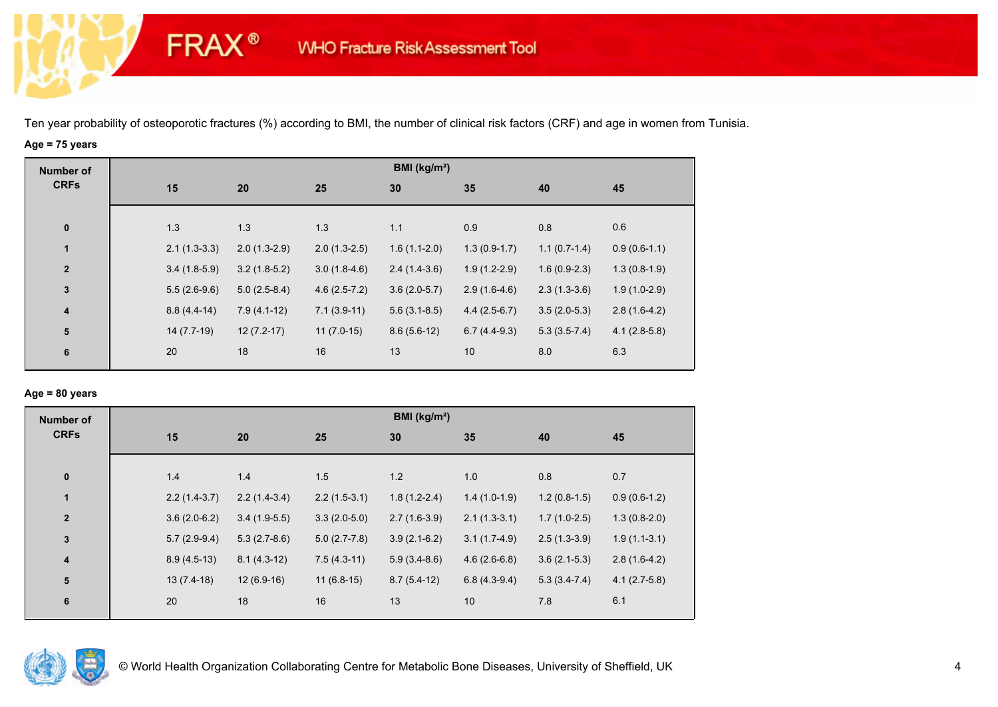# **Age = 75 years**

**FRAX®** 

| <b>Number of</b>        |                |                |                | BMI (kg/m <sup>2</sup> ) |                |                |                |
|-------------------------|----------------|----------------|----------------|--------------------------|----------------|----------------|----------------|
| <b>CRFs</b>             | 15             | 20             | 25             | 30                       | 35             | 40             | 45             |
|                         |                |                |                |                          |                |                |                |
| $\pmb{0}$               | 1.3            | 1.3            | 1.3            | 1.1                      | 0.9            | 0.8            | 0.6            |
| $\mathbf{1}$            | $2.1(1.3-3.3)$ | $2.0(1.3-2.9)$ | $2.0(1.3-2.5)$ | $1.6(1.1-2.0)$           | $1.3(0.9-1.7)$ | $1.1(0.7-1.4)$ | $0.9(0.6-1.1)$ |
| $\mathbf{2}$            | $3.4(1.8-5.9)$ | $3.2(1.8-5.2)$ | $3.0(1.8-4.6)$ | $2.4(1.4-3.6)$           | $1.9(1.2-2.9)$ | $1.6(0.9-2.3)$ | $1.3(0.8-1.9)$ |
| $\mathbf{3}$            | $5.5(2.6-9.6)$ | $5.0(2.5-8.4)$ | $4.6(2.5-7.2)$ | $3.6(2.0-5.7)$           | $2.9(1.6-4.6)$ | $2.3(1.3-3.6)$ | $1.9(1.0-2.9)$ |
| $\overline{\mathbf{4}}$ | $8.8(4.4-14)$  | $7.9(4.1-12)$  | $7.1(3.9-11)$  | $5.6(3.1-8.5)$           | $4.4(2.5-6.7)$ | $3.5(2.0-5.3)$ | $2.8(1.6-4.2)$ |
| 5                       | $14(7.7-19)$   | $12(7.2-17)$   | $11(7.0-15)$   | $8.6(5.6-12)$            | $6.7(4.4-9.3)$ | $5.3(3.5-7.4)$ | $4.1(2.8-5.8)$ |
| 6                       | 20             | 18             | 16             | 13                       | 10             | 8.0            | 6.3            |
|                         |                |                |                |                          |                |                |                |

## **Age = 80 years**

| <b>Number of</b>        |                |                |                | BMI ( $kg/m2$ ) |                |                |                |
|-------------------------|----------------|----------------|----------------|-----------------|----------------|----------------|----------------|
| <b>CRFs</b>             | 15             | 20             | 25             | 30              | 35             | 40             | 45             |
|                         |                |                |                |                 |                |                |                |
| $\pmb{0}$               | 1.4            | 1.4            | 1.5            | 1.2             | 1.0            | 0.8            | 0.7            |
| $\mathbf{1}$            | $2.2(1.4-3.7)$ | $2.2(1.4-3.4)$ | $2.2(1.5-3.1)$ | $1.8(1.2-2.4)$  | $1.4(1.0-1.9)$ | $1.2(0.8-1.5)$ | $0.9(0.6-1.2)$ |
| $\overline{\mathbf{2}}$ | $3.6(2.0-6.2)$ | $3.4(1.9-5.5)$ | $3.3(2.0-5.0)$ | $2.7(1.6-3.9)$  | $2.1(1.3-3.1)$ | $1.7(1.0-2.5)$ | $1.3(0.8-2.0)$ |
| $\mathbf 3$             | $5.7(2.9-9.4)$ | $5.3(2.7-8.6)$ | $5.0(2.7-7.8)$ | $3.9(2.1-6.2)$  | $3.1(1.7-4.9)$ | $2.5(1.3-3.9)$ | $1.9(1.1-3.1)$ |
| $\overline{\mathbf{4}}$ | $8.9(4.5-13)$  | $8.1(4.3-12)$  | $7.5(4.3-11)$  | $5.9(3.4-8.6)$  | $4.6(2.6-6.8)$ | $3.6(2.1-5.3)$ | $2.8(1.6-4.2)$ |
| 5                       | $13(7.4-18)$   | $12(6.9-16)$   | $11(6.8-15)$   | $8.7(5.4-12)$   | $6.8(4.3-9.4)$ | $5.3(3.4-7.4)$ | $4.1(2.7-5.8)$ |
| 6                       | 20             | 18             | 16             | 13              | 10             | 7.8            | 6.1            |
|                         |                |                |                |                 |                |                |                |